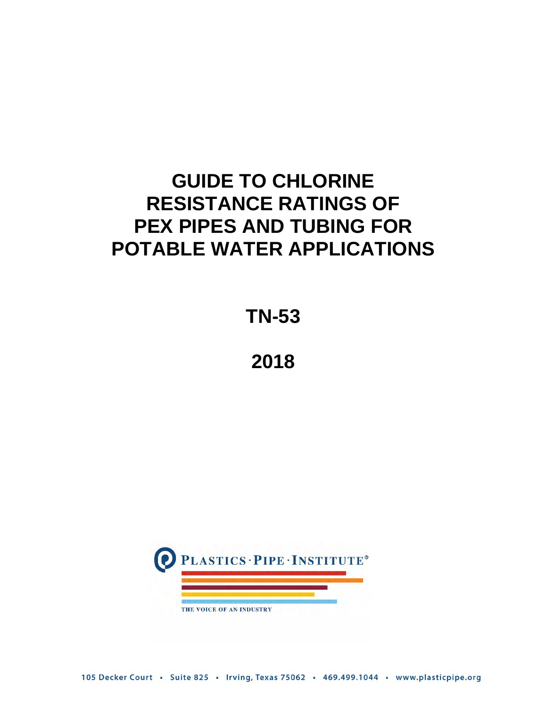# **GUIDE TO CHLORINE RESISTANCE RATINGS OF PEX PIPES AND TUBING FOR POTABLE WATER APPLICATIONS**

**TN-53**

**2018**



105 Decker Court · Suite 825 · Irving, Texas 75062 · 469.499.1044 · www.plasticpipe.org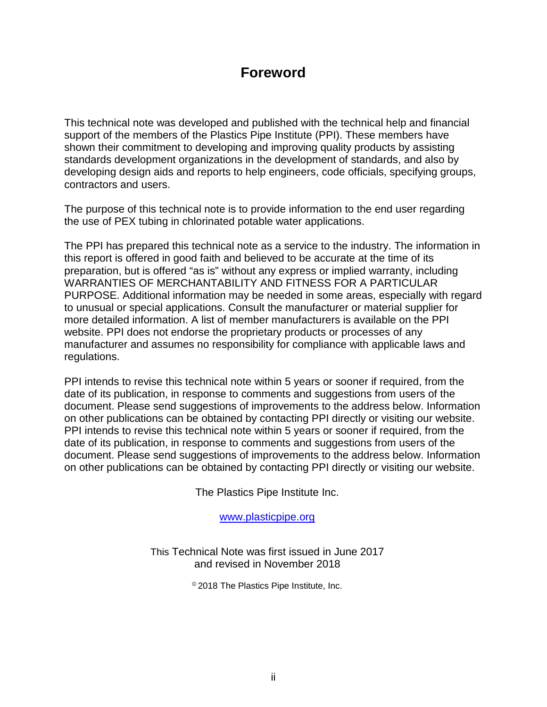# **Foreword**

This technical note was developed and published with the technical help and financial support of the members of the Plastics Pipe Institute (PPI). These members have shown their commitment to developing and improving quality products by assisting standards development organizations in the development of standards, and also by developing design aids and reports to help engineers, code officials, specifying groups, contractors and users.

The purpose of this technical note is to provide information to the end user regarding the use of PEX tubing in chlorinated potable water applications.

The PPI has prepared this technical note as a service to the industry. The information in this report is offered in good faith and believed to be accurate at the time of its preparation, but is offered "as is" without any express or implied warranty, including WARRANTIES OF MERCHANTABILITY AND FITNESS FOR A PARTICULAR PURPOSE. Additional information may be needed in some areas, especially with regard to unusual or special applications. Consult the manufacturer or material supplier for more detailed information. A list of member manufacturers is available on the PPI website. PPI does not endorse the proprietary products or processes of any manufacturer and assumes no responsibility for compliance with applicable laws and regulations.

PPI intends to revise this technical note within 5 years or sooner if required, from the date of its publication, in response to comments and suggestions from users of the document. Please send suggestions of improvements to the address below. Information on other publications can be obtained by contacting PPI directly or visiting our website. PPI intends to revise this technical note within 5 years or sooner if required, from the date of its publication, in response to comments and suggestions from users of the document. Please send suggestions of improvements to the address below. Information on other publications can be obtained by contacting PPI directly or visiting our website.

The Plastics Pipe Institute Inc.

[www.plasticpipe.org](http://www.plasticpipe.org/)

This Technical Note was first issued in June 2017 and revised in November 2018

© 2018 The Plastics Pipe Institute, Inc.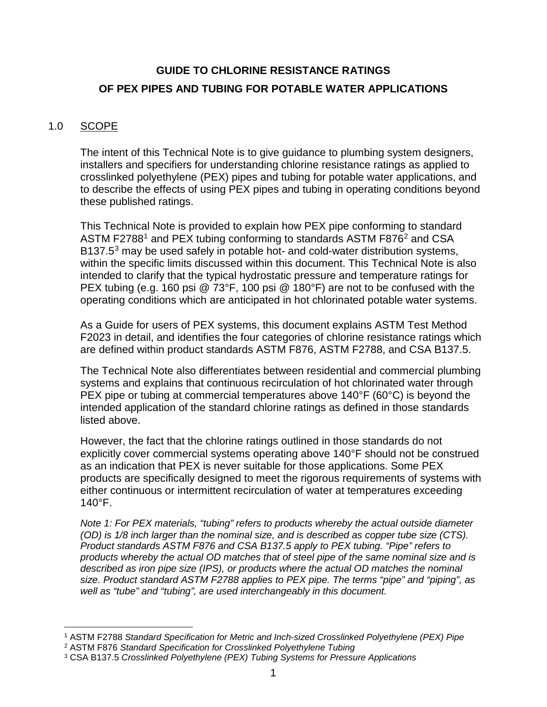# **GUIDE TO CHLORINE RESISTANCE RATINGS OF PEX PIPES AND TUBING FOR POTABLE WATER APPLICATIONS**

## 1.0 SCOPE

The intent of this Technical Note is to give guidance to plumbing system designers, installers and specifiers for understanding chlorine resistance ratings as applied to crosslinked polyethylene (PEX) pipes and tubing for potable water applications, and to describe the effects of using PEX pipes and tubing in operating conditions beyond these published ratings.

This Technical Note is provided to explain how PEX pipe conforming to standard ASTM F2788<sup>[1](#page-2-0)</sup> and PEX tubing conforming to standards ASTM F876<sup>[2](#page-2-1)</sup> and CSA B1[3](#page-2-2)7.5<sup>3</sup> may be used safely in potable hot- and cold-water distribution systems, within the specific limits discussed within this document. This Technical Note is also intended to clarify that the typical hydrostatic pressure and temperature ratings for PEX tubing (e.g. 160 psi @ 73°F, 100 psi @ 180°F) are not to be confused with the operating conditions which are anticipated in hot chlorinated potable water systems.

As a Guide for users of PEX systems, this document explains ASTM Test Method F2023 in detail, and identifies the four categories of chlorine resistance ratings which are defined within product standards ASTM F876, ASTM F2788, and CSA B137.5.

The Technical Note also differentiates between residential and commercial plumbing systems and explains that continuous recirculation of hot chlorinated water through PEX pipe or tubing at commercial temperatures above 140°F (60°C) is beyond the intended application of the standard chlorine ratings as defined in those standards listed above.

However, the fact that the chlorine ratings outlined in those standards do not explicitly cover commercial systems operating above 140°F should not be construed as an indication that PEX is never suitable for those applications. Some PEX products are specifically designed to meet the rigorous requirements of systems with either continuous or intermittent recirculation of water at temperatures exceeding  $140^{\circ}$ F.

*Note 1: For PEX materials, "tubing" refers to products whereby the actual outside diameter (OD) is 1/8 inch larger than the nominal size, and is described as copper tube size (CTS). Product standards ASTM F876 and CSA B137.5 apply to PEX tubing. "Pipe" refers to products whereby the actual OD matches that of steel pipe of the same nominal size and is described as iron pipe size (IPS), or products where the actual OD matches the nominal size. Product standard ASTM F2788 applies to PEX pipe. The terms "pipe" and "piping", as well as "tube" and "tubing", are used interchangeably in this document.* 

<span id="page-2-0"></span> $\overline{a}$ <sup>1</sup> ASTM F2788 *Standard Specification for Metric and Inch-sized Crosslinked Polyethylene (PEX) Pipe*

<span id="page-2-1"></span><sup>2</sup> ASTM F876 *Standard Specification for Crosslinked Polyethylene Tubing*

<span id="page-2-2"></span><sup>3</sup> CSA B137.5 *Crosslinked Polyethylene (PEX) Tubing Systems for Pressure Applications*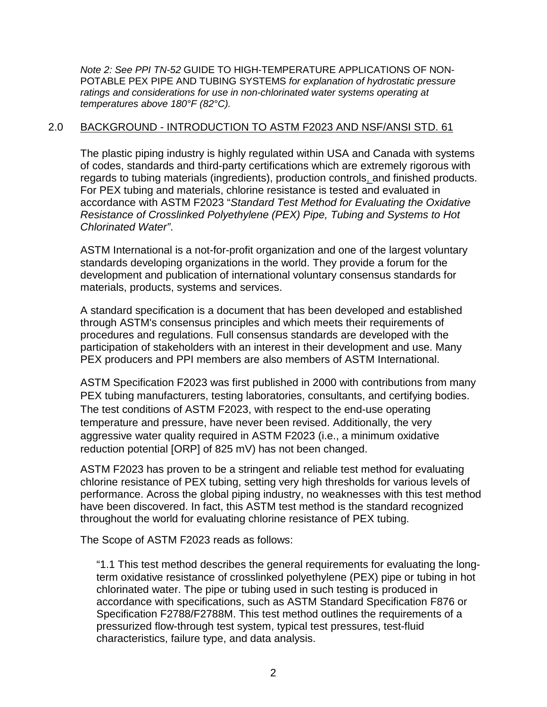*Note 2: See PPI TN-52* GUIDE TO HIGH-TEMPERATURE APPLICATIONS OF NON-POTABLE PEX PIPE AND TUBING SYSTEMS *for explanation of hydrostatic pressure ratings and considerations for use in non-chlorinated water systems operating at temperatures above 180°F (82°C).*

### 2.0 BACKGROUND - INTRODUCTION TO ASTM F2023 AND NSF/ANSI STD. 61

The plastic piping industry is highly regulated within USA and Canada with systems of codes, standards and third-party certifications which are extremely rigorous with regards to tubing materials (ingredients), production controls, and finished products. For PEX tubing and materials, chlorine resistance is tested and evaluated in accordance with ASTM F2023 "*Standard Test Method for Evaluating the Oxidative Resistance of Crosslinked Polyethylene (PEX) Pipe, Tubing and Systems to Hot Chlorinated Water"*.

ASTM International is a not-for-profit organization and one of the largest voluntary standards developing organizations in the world. They provide a forum for the development and publication of international voluntary consensus standards for materials, products, systems and services.

A standard specification is a document that has been developed and established through ASTM's consensus principles and which meets their requirements of procedures and regulations. Full consensus standards are developed with the participation of stakeholders with an interest in their development and use. Many PEX producers and PPI members are also members of ASTM International.

ASTM Specification F2023 was first published in 2000 with contributions from many PEX tubing manufacturers, testing laboratories, consultants, and certifying bodies. The test conditions of ASTM F2023, with respect to the end-use operating temperature and pressure, have never been revised. Additionally, the very aggressive water quality required in ASTM F2023 (i.e., a minimum oxidative reduction potential [ORP] of 825 mV) has not been changed.

ASTM F2023 has proven to be a stringent and reliable test method for evaluating chlorine resistance of PEX tubing, setting very high thresholds for various levels of performance. Across the global piping industry, no weaknesses with this test method have been discovered. In fact, this ASTM test method is the standard recognized throughout the world for evaluating chlorine resistance of PEX tubing.

The Scope of ASTM F2023 reads as follows:

"1.1 This test method describes the general requirements for evaluating the longterm oxidative resistance of crosslinked polyethylene (PEX) pipe or tubing in hot chlorinated water. The pipe or tubing used in such testing is produced in accordance with specifications, such as ASTM Standard Specification F876 or Specification F2788/F2788M. This test method outlines the requirements of a pressurized flow-through test system, typical test pressures, test-fluid characteristics, failure type, and data analysis.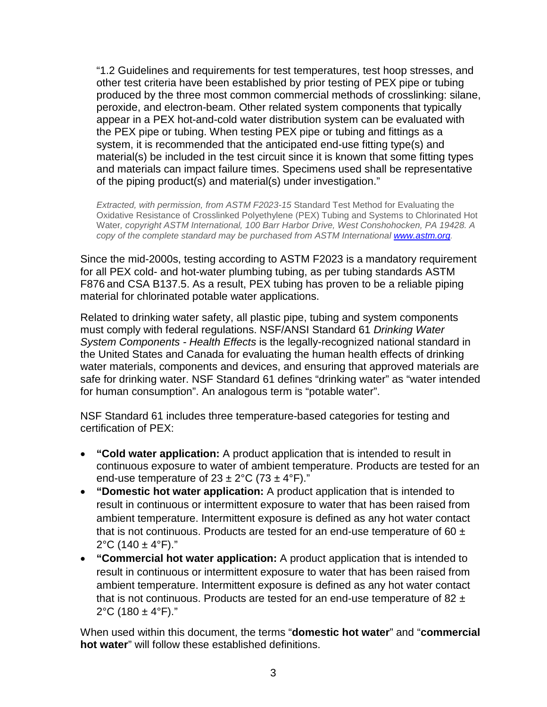"1.2 Guidelines and requirements for test temperatures, test hoop stresses, and other test criteria have been established by prior testing of PEX pipe or tubing produced by the three most common commercial methods of crosslinking: silane, peroxide, and electron-beam. Other related system components that typically appear in a PEX hot-and-cold water distribution system can be evaluated with the PEX pipe or tubing. When testing PEX pipe or tubing and fittings as a system, it is recommended that the anticipated end-use fitting type(s) and material(s) be included in the test circuit since it is known that some fitting types and materials can impact failure times. Specimens used shall be representative of the piping product(s) and material(s) under investigation."

*Extracted, with permission, from ASTM F2023-15* Standard Test Method for Evaluating the Oxidative Resistance of Crosslinked Polyethylene (PEX) Tubing and Systems to Chlorinated Hot Water*, copyright ASTM International, 100 Barr Harbor Drive, West Conshohocken, PA 19428. A copy of the complete standard may be purchased from ASTM International [www.astm.org.](http://www.astm.org/)* 

Since the mid-2000s, testing according to ASTM F2023 is a mandatory requirement for all PEX cold- and hot-water plumbing tubing, as per tubing standards ASTM F876 and CSA B137.5. As a result, PEX tubing has proven to be a reliable piping material for chlorinated potable water applications.

Related to drinking water safety, all plastic pipe, tubing and system components must comply with federal regulations. NSF/ANSI Standard 61 *Drinking Water System Components - Health Effects* is the legally-recognized national standard in the United States and Canada for evaluating the human health effects of drinking water materials, components and devices, and ensuring that approved materials are safe for drinking water. NSF Standard 61 defines "drinking water" as "water intended for human consumption". An analogous term is "potable water".

NSF Standard 61 includes three temperature-based categories for testing and certification of PEX:

- **"Cold water application:** A product application that is intended to result in continuous exposure to water of ambient temperature. Products are tested for an end-use temperature of  $23 \pm 2^{\circ}$ C (73  $\pm$  4°F)."
- **"Domestic hot water application:** A product application that is intended to result in continuous or intermittent exposure to water that has been raised from ambient temperature. Intermittent exposure is defined as any hot water contact that is not continuous. Products are tested for an end-use temperature of 60  $\pm$ 2°C (140  $\pm$  4°F)."
- **"Commercial hot water application:** A product application that is intended to result in continuous or intermittent exposure to water that has been raised from ambient temperature. Intermittent exposure is defined as any hot water contact that is not continuous. Products are tested for an end-use temperature of 82  $\pm$ 2°C (180  $\pm$  4°F)."

When used within this document, the terms "**domestic hot water**" and "**commercial hot water**" will follow these established definitions.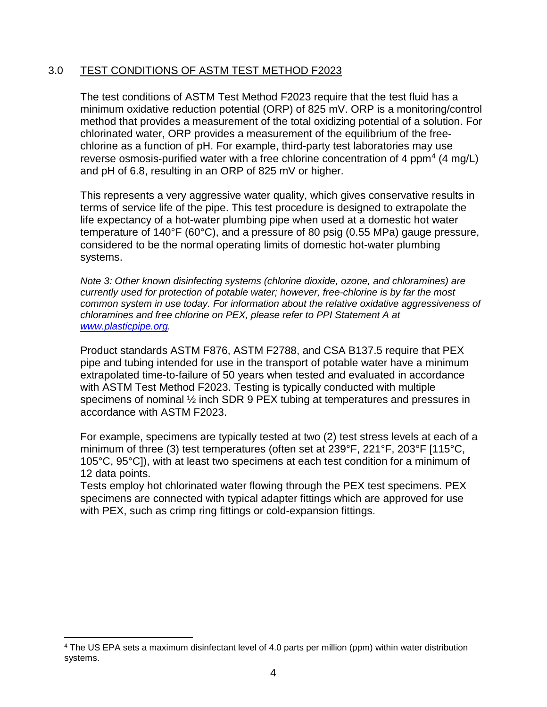### 3.0 TEST CONDITIONS OF ASTM TEST METHOD F2023

The test conditions of ASTM Test Method F2023 require that the test fluid has a minimum oxidative reduction potential (ORP) of 825 mV. ORP is a monitoring/control method that provides a measurement of the total oxidizing potential of a solution. For chlorinated water, ORP provides a measurement of the equilibrium of the freechlorine as a function of pH. For example, third-party test laboratories may use reverse osmosis-purified water with a free chlorine concentration of [4](#page-5-0) ppm<sup>4</sup> (4 mg/L) and pH of 6.8, resulting in an ORP of 825 mV or higher.

This represents a very aggressive water quality, which gives conservative results in terms of service life of the pipe. This test procedure is designed to extrapolate the life expectancy of a hot-water plumbing pipe when used at a domestic hot water temperature of 140°F (60°C), and a pressure of 80 psig (0.55 MPa) gauge pressure, considered to be the normal operating limits of domestic hot-water plumbing systems.

*Note 3: Other known disinfecting systems (chlorine dioxide, ozone, and chloramines) are currently used for protection of potable water; however, free-chlorine is by far the most common system in use today. For information about the relative oxidative aggressiveness of chloramines and free chlorine on PEX, please refer to PPI Statement A at [www.plasticpipe.org.](http://www.plasticpipe.org/)* 

Product standards ASTM F876, ASTM F2788, and CSA B137.5 require that PEX pipe and tubing intended for use in the transport of potable water have a minimum extrapolated time-to-failure of 50 years when tested and evaluated in accordance with ASTM Test Method F2023. Testing is typically conducted with multiple specimens of nominal ½ inch SDR 9 PEX tubing at temperatures and pressures in accordance with ASTM F2023.

For example, specimens are typically tested at two (2) test stress levels at each of a minimum of three (3) test temperatures (often set at 239°F, 221°F, 203°F [115°C, 105°C, 95°C]), with at least two specimens at each test condition for a minimum of 12 data points.

Tests employ hot chlorinated water flowing through the PEX test specimens. PEX specimens are connected with typical adapter fittings which are approved for use with PEX, such as crimp ring fittings or cold-expansion fittings.

 $\overline{a}$ 

<span id="page-5-0"></span><sup>4</sup> The US EPA sets a maximum disinfectant level of 4.0 parts per million (ppm) within water distribution systems.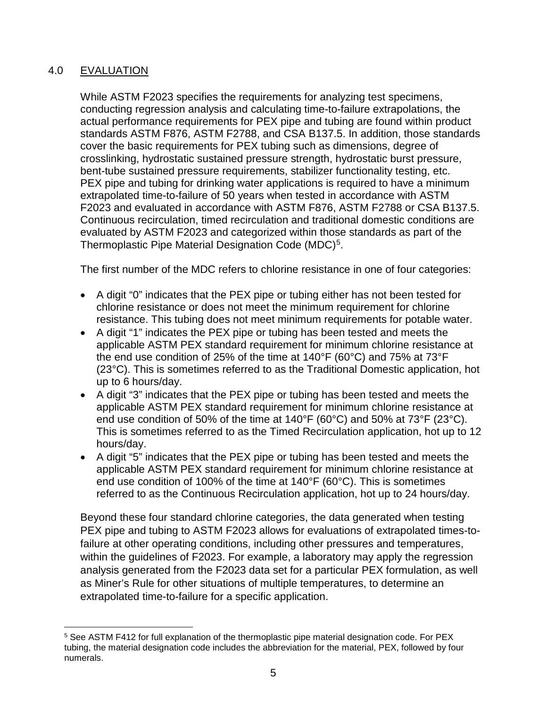# 4.0 EVALUATION

While ASTM F2023 specifies the requirements for analyzing test specimens, conducting regression analysis and calculating time-to-failure extrapolations, the actual performance requirements for PEX pipe and tubing are found within product standards ASTM F876, ASTM F2788, and CSA B137.5. In addition, those standards cover the basic requirements for PEX tubing such as dimensions, degree of crosslinking, hydrostatic sustained pressure strength, hydrostatic burst pressure, bent-tube sustained pressure requirements, stabilizer functionality testing, etc. PEX pipe and tubing for drinking water applications is required to have a minimum extrapolated time-to-failure of 50 years when tested in accordance with ASTM F2023 and evaluated in accordance with ASTM F876, ASTM F2788 or CSA B137.5. Continuous recirculation, timed recirculation and traditional domestic conditions are evaluated by ASTM F2023 and categorized within those standards as part of the Thermoplastic Pipe Material Designation Code (MDC)<sup>[5](#page-6-0)</sup>.

The first number of the MDC refers to chlorine resistance in one of four categories:

- A digit "0" indicates that the PEX pipe or tubing either has not been tested for chlorine resistance or does not meet the minimum requirement for chlorine resistance. This tubing does not meet minimum requirements for potable water.
- A digit "1" indicates the PEX pipe or tubing has been tested and meets the applicable ASTM PEX standard requirement for minimum chlorine resistance at the end use condition of 25% of the time at 140°F (60°C) and 75% at 73°F (23°C). This is sometimes referred to as the Traditional Domestic application, hot up to 6 hours/day.
- A digit "3" indicates that the PEX pipe or tubing has been tested and meets the applicable ASTM PEX standard requirement for minimum chlorine resistance at end use condition of 50% of the time at 140°F (60°C) and 50% at 73°F (23°C). This is sometimes referred to as the Timed Recirculation application, hot up to 12 hours/day.
- A digit "5" indicates that the PEX pipe or tubing has been tested and meets the applicable ASTM PEX standard requirement for minimum chlorine resistance at end use condition of 100% of the time at 140°F (60°C). This is sometimes referred to as the Continuous Recirculation application, hot up to 24 hours/day.

Beyond these four standard chlorine categories, the data generated when testing PEX pipe and tubing to ASTM F2023 allows for evaluations of extrapolated times-tofailure at other operating conditions, including other pressures and temperatures, within the guidelines of F2023. For example, a laboratory may apply the regression analysis generated from the F2023 data set for a particular PEX formulation, as well as Miner's Rule for other situations of multiple temperatures, to determine an extrapolated time-to-failure for a specific application.

<span id="page-6-0"></span> $\overline{a}$ <sup>5</sup> See ASTM F412 for full explanation of the thermoplastic pipe material designation code. For PEX tubing, the material designation code includes the abbreviation for the material, PEX, followed by four numerals.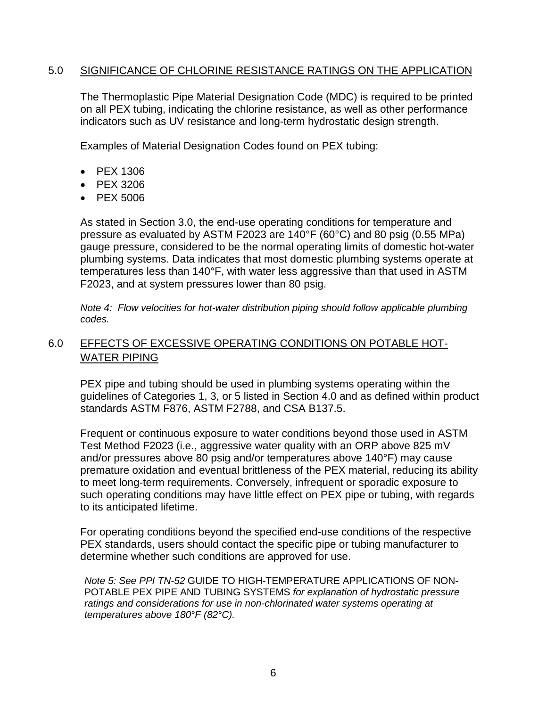#### 5.0 SIGNIFICANCE OF CHLORINE RESISTANCE RATINGS ON THE APPLICATION

The Thermoplastic Pipe Material Designation Code (MDC) is required to be printed on all PEX tubing, indicating the chlorine resistance, as well as other performance indicators such as UV resistance and long-term hydrostatic design strength.

Examples of Material Designation Codes found on PEX tubing:

- PEX 1306
- PEX 3206
- PEX 5006

As stated in Section 3.0, the end-use operating conditions for temperature and pressure as evaluated by ASTM F2023 are 140°F (60°C) and 80 psig (0.55 MPa) gauge pressure, considered to be the normal operating limits of domestic hot-water plumbing systems. Data indicates that most domestic plumbing systems operate at temperatures less than 140°F, with water less aggressive than that used in ASTM F2023, and at system pressures lower than 80 psig.

*Note 4: Flow velocities for hot-water distribution piping should follow applicable plumbing codes.*

# 6.0 EFFECTS OF EXCESSIVE OPERATING CONDITIONS ON POTABLE HOT-WATER PIPING

PEX pipe and tubing should be used in plumbing systems operating within the guidelines of Categories 1, 3, or 5 listed in Section 4.0 and as defined within product standards ASTM F876, ASTM F2788, and CSA B137.5.

Frequent or continuous exposure to water conditions beyond those used in ASTM Test Method F2023 (i.e., aggressive water quality with an ORP above 825 mV and/or pressures above 80 psig and/or temperatures above 140°F) may cause premature oxidation and eventual brittleness of the PEX material, reducing its ability to meet long-term requirements. Conversely, infrequent or sporadic exposure to such operating conditions may have little effect on PEX pipe or tubing, with regards to its anticipated lifetime.

For operating conditions beyond the specified end-use conditions of the respective PEX standards, users should contact the specific pipe or tubing manufacturer to determine whether such conditions are approved for use.

*Note 5: See PPI TN-52* GUIDE TO HIGH-TEMPERATURE APPLICATIONS OF NON-POTABLE PEX PIPE AND TUBING SYSTEMS *for explanation of hydrostatic pressure ratings and considerations for use in non-chlorinated water systems operating at temperatures above 180°F (82°C).*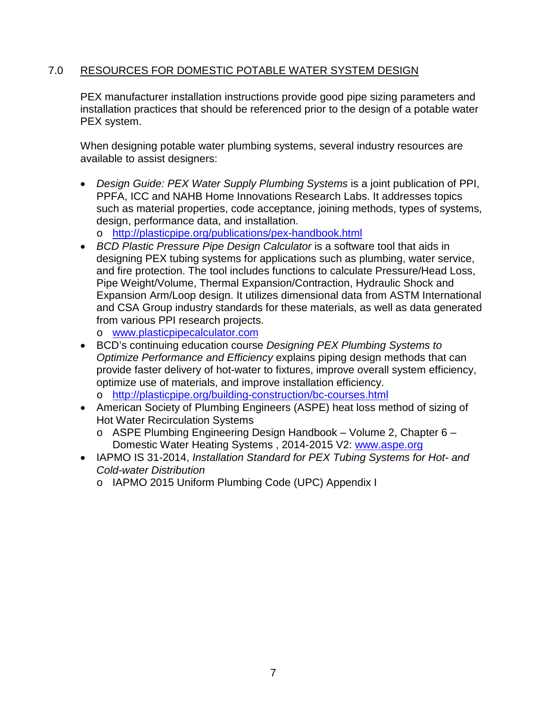## 7.0 RESOURCES FOR DOMESTIC POTABLE WATER SYSTEM DESIGN

PEX manufacturer installation instructions provide good pipe sizing parameters and installation practices that should be referenced prior to the design of a potable water PEX system.

When designing potable water plumbing systems, several industry resources are available to assist designers:

• *Design Guide: PEX Water Supply Plumbing Systems* is a joint publication of PPI, PPFA, ICC and NAHB Home Innovations Research Labs. It addresses topics such as material properties, code acceptance, joining methods, types of systems, design, performance data, and installation.

o <http://plasticpipe.org/publications/pex-handbook.html>

- *BCD Plastic Pressure Pipe Design Calculator* is a software tool that aids in designing PEX tubing systems for applications such as plumbing, water service, and fire protection. The tool includes functions to calculate Pressure/Head Loss, Pipe Weight/Volume, Thermal Expansion/Contraction, Hydraulic Shock and Expansion Arm/Loop design. It utilizes dimensional data from ASTM International and CSA Group industry standards for these materials, as well as data generated from various PPI research projects.
	- o [www.plasticpipecalculator.com](http://www.plasticpipecalculator.com/)
- BCD's continuing education course *Designing PEX Plumbing Systems to Optimize Performance and Efficiency* explains piping design methods that can provide faster delivery of hot-water to fixtures, improve overall system efficiency, optimize use of materials, and improve installation efficiency. o <http://plasticpipe.org/building-construction/bc-courses.html>
- American Society of Plumbing Engineers (ASPE) heat loss method of sizing of Hot Water Recirculation Systems
	- o ASPE Plumbing Engineering Design Handbook Volume 2, Chapter 6 Domestic Water Heating Systems , 2014-2015 V2: [www.aspe.org](http://www.aspe.org/)
- IAPMO IS 31-2014, *Installation Standard for PEX Tubing Systems for Hot- and Cold-water Distribution*
	- o IAPMO 2015 Uniform Plumbing Code (UPC) Appendix I